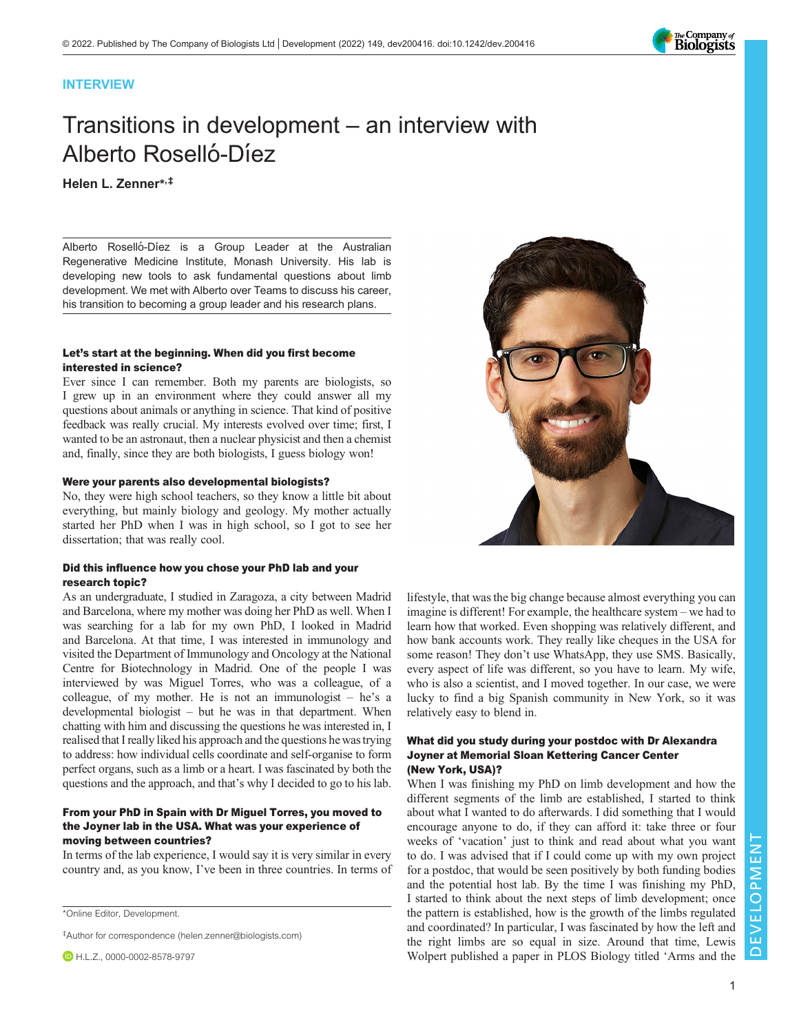

# INTERVIEW

# Transitions in development – an interview with Alberto Roselló-Díez

# Helen L. Zenner\* ,‡

Alberto Roselló-Díez is a Group Leader at the Australian Regenerative Medicine Institute, Monash University. His lab is developing new tools to ask fundamental questions about limb development. We met with Alberto over Teams to discuss his career, his transition to becoming a group leader and his research plans.

# Let's start at the beginning. When did you first become interested in science?

Ever since I can remember. Both my parents are biologists, so I grew up in an environment where they could answer all my questions about animals or anything in science. That kind of positive feedback was really crucial. My interests evolved over time; first, I wanted to be an astronaut, then a nuclear physicist and then a chemist and, finally, since they are both biologists, I guess biology won!

# Were your parents also developmental biologists?

No, they were high school teachers, so they know a little bit about everything, but mainly biology and geology. My mother actually started her PhD when I was in high school, so I got to see her dissertation; that was really cool.

# Did this influence how you chose your PhD lab and your research topic?

As an undergraduate, I studied in Zaragoza, a city between Madrid and Barcelona, where my mother was doing her PhD as well. When I was searching for a lab for my own PhD, I looked in Madrid and Barcelona. At that time, I was interested in immunology and visited the Department of Immunology and Oncology at the National Centre for Biotechnology in Madrid. One of the people I was interviewed by was Miguel Torres, who was a colleague, of a colleague, of my mother. He is not an immunologist – he's a developmental biologist – but he was in that department. When chatting with him and discussing the questions he was interested in, I realised that I really liked his approach and the questions he was trying to address: how individual cells coordinate and self-organise to form perfect organs, such as a limb or a heart. I was fascinated by both the questions and the approach, and that's why I decided to go to his lab.

# From your PhD in Spain with Dr Miguel Torres, you moved to the Joyner lab in the USA. What was your experience of moving between countries?

In terms of the lab experience, I would say it is very similar in every country and, as you know, I've been in three countries. In terms of

\*Online Editor, Development.

‡Author for correspondence ([helen.zenner@biologists.com](mailto:helen.zenner@biologists.com))

**D** H.L.Z., [0000-0002-8578-9797](http://orcid.org/0000-0002-8578-9797)



lifestyle, that was the big change because almost everything you can imagine is different! For example, the healthcare system – we had to learn how that worked. Even shopping was relatively different, and how bank accounts work. They really like cheques in the USA for some reason! They don't use WhatsApp, they use SMS. Basically, every aspect of life was different, so you have to learn. My wife, who is also a scientist, and I moved together. In our case, we were lucky to find a big Spanish community in New York, so it was relatively easy to blend in.

#### What did you study during your postdoc with Dr Alexandra Joyner at Memorial Sloan Kettering Cancer Center (New York, USA)?

When I was finishing my PhD on limb development and how the different segments of the limb are established, I started to think about what I wanted to do afterwards. I did something that I would encourage anyone to do, if they can afford it: take three or four weeks of 'vacation' just to think and read about what you want to do. I was advised that if I could come up with my own project for a postdoc, that would be seen positively by both funding bodies and the potential host lab. By the time I was finishing my PhD, I started to think about the next steps of limb development; once the pattern is established, how is the growth of the limbs regulated and coordinated? In particular, I was fascinated by how the left and the right limbs are so equal in size. Around that time, Lewis Wolpert published a paper in PLOS Biology titled '[Arms and the](#page-3-0)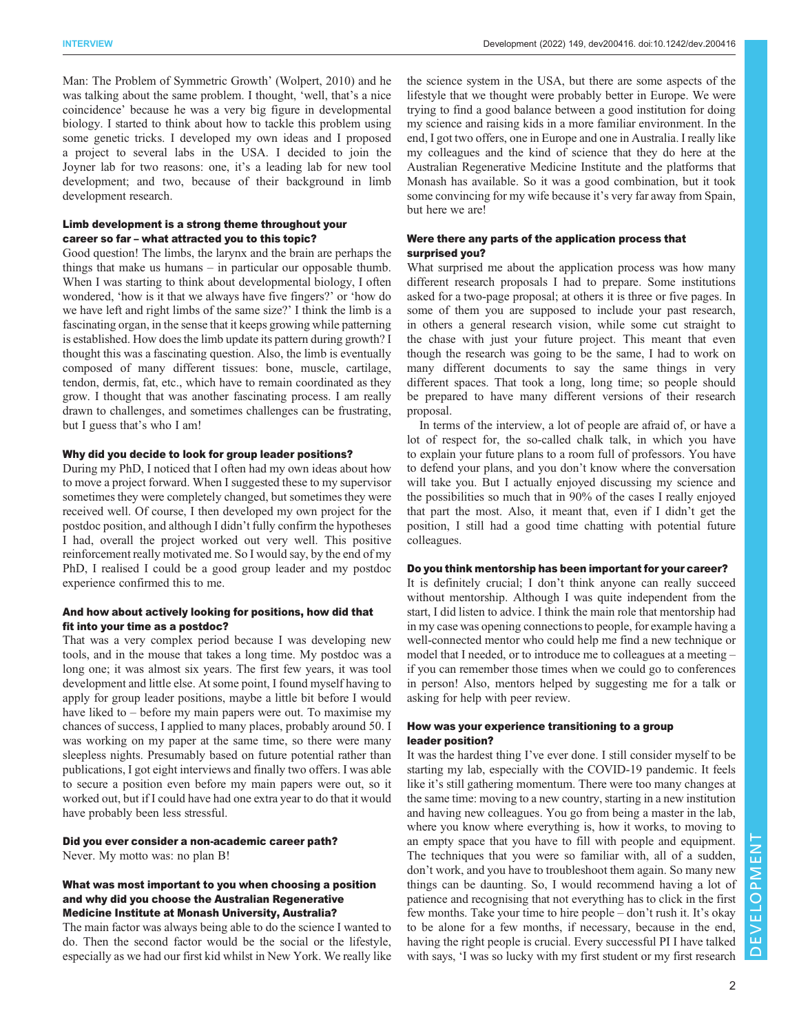[Man: The Problem of Symmetric Growth](#page-3-0)' (Wolpert, 2010) and he was talking about the same problem. I thought, 'well, that's a nice coincidence' because he was a very big figure in developmental biology. I started to think about how to tackle this problem using some genetic tricks. I developed my own ideas and I proposed a project to several labs in the USA. I decided to join the Joyner lab for two reasons: one, it's a leading lab for new tool development; and two, because of their background in limb development research.

# Limb development is a strong theme throughout your career so far – what attracted you to this topic?

Good question! The limbs, the larynx and the brain are perhaps the things that make us humans – in particular our opposable thumb. When I was starting to think about developmental biology, I often wondered, 'how is it that we always have five fingers?' or 'how do we have left and right limbs of the same size?' I think the limb is a fascinating organ, in the sense that it keeps growing while patterning is established. How does the limb update its pattern during growth? I thought this was a fascinating question. Also, the limb is eventually composed of many different tissues: bone, muscle, cartilage, tendon, dermis, fat, etc., which have to remain coordinated as they grow. I thought that was another fascinating process. I am really drawn to challenges, and sometimes challenges can be frustrating, but I guess that's who I am!

#### Why did you decide to look for group leader positions?

During my PhD, I noticed that I often had my own ideas about how to move a project forward. When I suggested these to my supervisor sometimes they were completely changed, but sometimes they were received well. Of course, I then developed my own project for the postdoc position, and although I didn't fully confirm the hypotheses I had, overall the project worked out very well. This positive reinforcement really motivated me. So I would say, by the end of my PhD, I realised I could be a good group leader and my postdoc experience confirmed this to me.

#### And how about actively looking for positions, how did that fit into your time as a postdoc?

That was a very complex period because I was developing new tools, and in the mouse that takes a long time. My postdoc was a long one; it was almost six years. The first few years, it was tool development and little else. At some point, I found myself having to apply for group leader positions, maybe a little bit before I would have liked to – before my main papers were out. To maximise my chances of success, I applied to many places, probably around 50. I was working on my paper at the same time, so there were many sleepless nights. Presumably based on future potential rather than publications, I got eight interviews and finally two offers. I was able to secure a position even before my main papers were out, so it worked out, but if I could have had one extra year to do that it would have probably been less stressful.

#### Did you ever consider a non-academic career path? Never. My motto was: no plan B!

# What was most important to you when choosing a position

and why did you choose the Australian Regenerative Medicine Institute at Monash University, Australia?

The main factor was always being able to do the science I wanted to do. Then the second factor would be the social or the lifestyle, especially as we had our first kid whilst in New York. We really like the science system in the USA, but there are some aspects of the lifestyle that we thought were probably better in Europe. We were trying to find a good balance between a good institution for doing my science and raising kids in a more familiar environment. In the end, I got two offers, one in Europe and one in Australia. I really like my colleagues and the kind of science that they do here at the Australian Regenerative Medicine Institute and the platforms that Monash has available. So it was a good combination, but it took some convincing for my wife because it's very far away from Spain, but here we are!

# Were there any parts of the application process that surprised you?

What surprised me about the application process was how many different research proposals I had to prepare. Some institutions asked for a two-page proposal; at others it is three or five pages. In some of them you are supposed to include your past research, in others a general research vision, while some cut straight to the chase with just your future project. This meant that even though the research was going to be the same, I had to work on many different documents to say the same things in very different spaces. That took a long, long time; so people should be prepared to have many different versions of their research proposal.

In terms of the interview, a lot of people are afraid of, or have a lot of respect for, the so-called chalk talk, in which you have to explain your future plans to a room full of professors. You have to defend your plans, and you don't know where the conversation will take you. But I actually enjoyed discussing my science and the possibilities so much that in 90% of the cases I really enjoyed that part the most. Also, it meant that, even if I didn't get the position, I still had a good time chatting with potential future colleagues.

# Do you think mentorship has been important for your career?

It is definitely crucial; I don't think anyone can really succeed without mentorship. Although I was quite independent from the start, I did listen to advice. I think the main role that mentorship had in my case was opening connections to people, for example having a well-connected mentor who could help me find a new technique or model that I needed, or to introduce me to colleagues at a meeting – if you can remember those times when we could go to conferences in person! Also, mentors helped by suggesting me for a talk or asking for help with peer review.

# How was your experience transitioning to a group leader position?

It was the hardest thing I've ever done. I still consider myself to be starting my lab, especially with the COVID-19 pandemic. It feels like it's still gathering momentum. There were too many changes at the same time: moving to a new country, starting in a new institution and having new colleagues. You go from being a master in the lab, where you know where everything is, how it works, to moving to an empty space that you have to fill with people and equipment. The techniques that you were so familiar with, all of a sudden, don't work, and you have to troubleshoot them again. So many new things can be daunting. So, I would recommend having a lot of patience and recognising that not everything has to click in the first few months. Take your time to hire people – don't rush it. It's okay to be alone for a few months, if necessary, because in the end, having the right people is crucial. Every successful PI I have talked with says, 'I was so lucky with my first student or my first research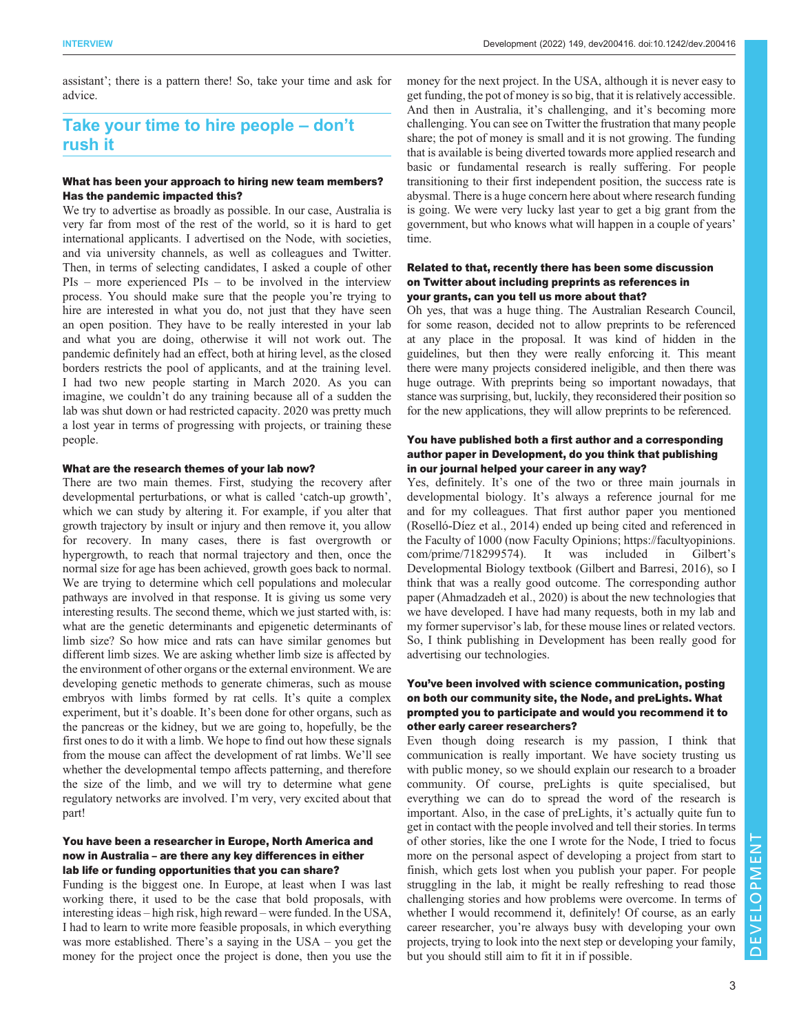assistant'; there is a pattern there! So, take your time and ask for advice.

# Take your time to hire people – don't rush it

# What has been your approach to hiring new team members? Has the pandemic impacted this?

We try to advertise as broadly as possible. In our case, Australia is very far from most of the rest of the world, so it is hard to get international applicants. I advertised on the Node, with societies, and via university channels, as well as colleagues and Twitter. Then, in terms of selecting candidates, I asked a couple of other PIs – more experienced PIs – to be involved in the interview process. You should make sure that the people you're trying to hire are interested in what you do, not just that they have seen an open position. They have to be really interested in your lab and what you are doing, otherwise it will not work out. The pandemic definitely had an effect, both at hiring level, as the closed borders restricts the pool of applicants, and at the training level. I had two new people starting in March 2020. As you can imagine, we couldn't do any training because all of a sudden the lab was shut down or had restricted capacity. 2020 was pretty much a lost year in terms of progressing with projects, or training these people.

#### What are the research themes of your lab now?

There are two main themes. First, studying the recovery after developmental perturbations, or what is called 'catch-up growth', which we can study by altering it. For example, if you alter that growth trajectory by insult or injury and then remove it, you allow for recovery. In many cases, there is fast overgrowth or hypergrowth, to reach that normal trajectory and then, once the normal size for age has been achieved, growth goes back to normal. We are trying to determine which cell populations and molecular pathways are involved in that response. It is giving us some very interesting results. The second theme, which we just started with, is: what are the genetic determinants and epigenetic determinants of limb size? So how mice and rats can have similar genomes but different limb sizes. We are asking whether limb size is affected by the environment of other organs or the external environment. We are developing genetic methods to generate chimeras, such as mouse embryos with limbs formed by rat cells. It's quite a complex experiment, but it's doable. It's been done for other organs, such as the pancreas or the kidney, but we are going to, hopefully, be the first ones to do it with a limb. We hope to find out how these signals from the mouse can affect the development of rat limbs. We'll see whether the developmental tempo affects patterning, and therefore the size of the limb, and we will try to determine what gene regulatory networks are involved. I'm very, very excited about that part!

# You have been a researcher in Europe, North America and now in Australia – are there any key differences in either lab life or funding opportunities that you can share?

Funding is the biggest one. In Europe, at least when I was last working there, it used to be the case that bold proposals, with interesting ideas – high risk, high reward – were funded. In the USA, I had to learn to write more feasible proposals, in which everything was more established. There's a saying in the USA – you get the money for the project once the project is done, then you use the

money for the next project. In the USA, although it is never easy to get funding, the pot of money is so big, that it is relatively accessible. And then in Australia, it's challenging, and it's becoming more challenging. You can see on Twitter the frustration that many people share; the pot of money is small and it is not growing. The funding that is available is being diverted towards more applied research and basic or fundamental research is really suffering. For people transitioning to their first independent position, the success rate is abysmal. There is a huge concern here about where research funding is going. We were very lucky last year to get a big grant from the government, but who knows what will happen in a couple of years' time.

# Related to that, recently there has been some discussion on Twitter about including preprints as references in your grants, can you tell us more about that?

Oh yes, that was a huge thing. The Australian Research Council, for some reason, decided not to allow preprints to be referenced at any place in the proposal. It was kind of hidden in the guidelines, but then they were really enforcing it. This meant there were many projects considered ineligible, and then there was huge outrage. With preprints being so important nowadays, that stance was surprising, but, luckily, they reconsidered their position so for the new applications, they will allow preprints to be referenced.

# You have published both a first author and a corresponding author paper in Development, do you think that publishing in our journal helped your career in any way?

Yes, definitely. It's one of the two or three main journals in developmental biology. It's always a reference journal for me and for my colleagues. That first author paper you mentioned [\(Roselló-Díez et al., 2014](#page-3-0)) ended up being cited and referenced in the Faculty of 1000 (now Faculty Opinions; [https://facultyopinions.](https://facultyopinions.com/prime/718299574) [com/prime/718299574](https://facultyopinions.com/prime/718299574)). It was included in Gilbert's Developmental Biology textbook [\(Gilbert and Barresi, 2016](#page-3-0)), so I think that was a really good outcome. The corresponding author paper [\(Ahmadzadeh et al., 2020\)](#page-3-0) is about the new technologies that we have developed. I have had many requests, both in my lab and my former supervisor's lab, for these mouse lines or related vectors. So, I think publishing in Development has been really good for advertising our technologies.

# You've been involved with science communication, posting on both our community site, the Node, and preLights. What prompted you to participate and would you recommend it to other early career researchers?

Even though doing research is my passion, I think that communication is really important. We have society trusting us with public money, so we should explain our research to a broader community. Of course, preLights is quite specialised, but everything we can do to spread the word of the research is important. Also, in the case of preLights, it's actually quite fun to get in contact with the people involved and tell their stories. In terms of other stories, like the one I wrote for the Node, I tried to focus more on the personal aspect of developing a project from start to finish, which gets lost when you publish your paper. For people struggling in the lab, it might be really refreshing to read those challenging stories and how problems were overcome. In terms of whether I would recommend it, definitely! Of course, as an early career researcher, you're always busy with developing your own projects, trying to look into the next step or developing your family, but you should still aim to fit it in if possible.